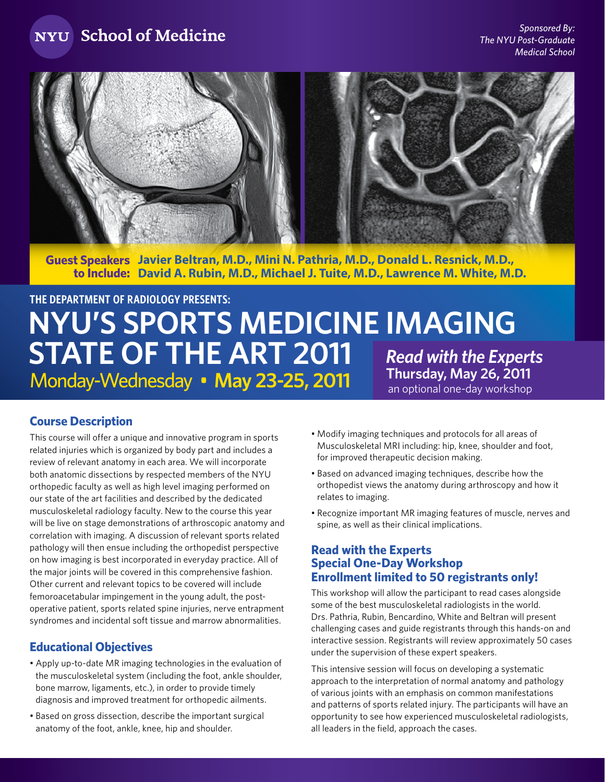NYU School of Medicine



**Guest Speakers Javier Beltran, M.D., Mini N. Pathria, M.D., Donald L. Resnick, M.D., to Include: David A. Rubin, M.D., Michael J. Tuite, M.D., Lawrence M. White, M.D.**

# **NYU's Sports Medicine Imaging STATE OF THE ART 2011** Read with the Experts **Monday-Wednesday • May 23-25, 2011 Inursday, May 26, 2011** *Monday-Wednesday* **• <b>May 23-25, 2011** *an optional one-day workshop* **The Department of Radiology Presents:**

## **Course Description**

This course will offer a unique and innovative program in sports related injuries which is organized by body part and includes a review of relevant anatomy in each area. We will incorporate both anatomic dissections by respected members of the NYU orthopedic faculty as well as high level imaging performed on our state of the art facilities and described by the dedicated musculoskeletal radiology faculty. New to the course this year will be live on stage demonstrations of arthroscopic anatomy and correlation with imaging. A discussion of relevant sports related pathology will then ensue including the orthopedist perspective on how imaging is best incorporated in everyday practice. All of the major joints will be covered in this comprehensive fashion. Other current and relevant topics to be covered will include femoroacetabular impingement in the young adult, the postoperative patient, sports related spine injuries, nerve entrapment syndromes and incidental soft tissue and marrow abnormalities.

## **Educational Objectives**

- Apply up-to-date MR imaging technologies in the evaluation of the musculoskeletal system (including the foot, ankle shoulder, bone marrow, ligaments, etc.), in order to provide timely diagnosis and improved treatment for orthopedic ailments.
- Based on gross dissection, describe the important surgical anatomy of the foot, ankle, knee, hip and shoulder.
- Modify imaging techniques and protocols for all areas of Musculoskeletal MRI including: hip, knee, shoulder and foot, for improved therapeutic decision making.
- Based on advanced imaging techniques, describe how the orthopedist views the anatomy during arthroscopy and how it relates to imaging.
- Recognize important MR imaging features of muscle, nerves and spine, as well as their clinical implications.

## **Read with the Experts Special One-Day Workshop Enrollment limited to 50 registrants only!**

This workshop will allow the participant to read cases alongside some of the best musculoskeletal radiologists in the world. Drs. Pathria, Rubin, Bencardino, White and Beltran will present challenging cases and guide registrants through this hands-on and interactive session. Registrants will review approximately 50 cases under the supervision of these expert speakers.

This intensive session will focus on developing a systematic approach to the interpretation of normal anatomy and pathology of various joints with an emphasis on common manifestations and patterns of sports related injury. The participants will have an opportunity to see how experienced musculoskeletal radiologists, all leaders in the field, approach the cases.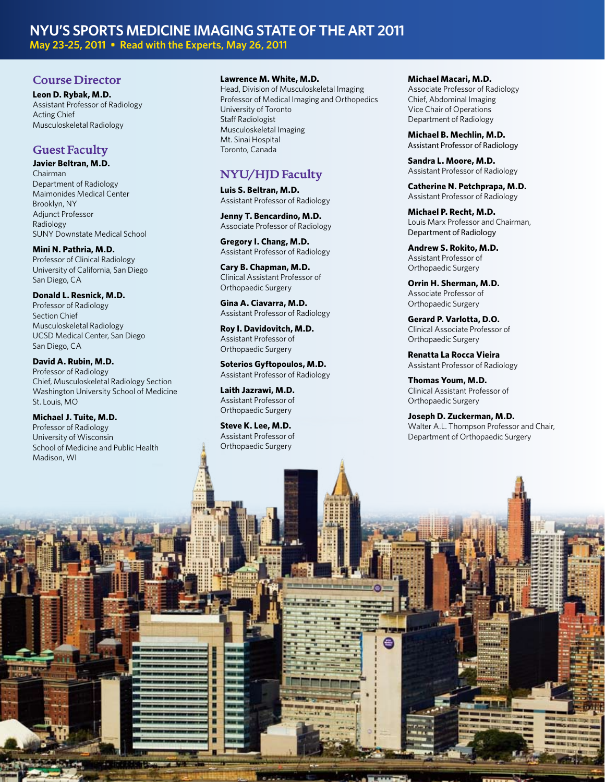## **NYU's Sports Medicine imaging State of the Art 2011 May 23-25, 2011 • Read with the Experts, May 26, 2011**

## **Course Director**

**Leon D. Rybak, M.D.** Assistant Professor of Radiology Acting Chief Musculoskeletal Radiology

# **Guest Faculty**

**Javier Beltran, M.D.** Chairman Department of Radiology Maimonides Medical Center Brooklyn, NY Adjunct Professor Radiology SUNY Downstate Medical School

**Mini N. Pathria, M.D.** Professor of Clinical Radiology University of California, San Diego San Diego, CA

**Donald L. Resnick, M.D.** Professor of Radiology Section Chief Musculoskeletal Radiology UCSD Medical Center, San Diego San Diego, CA

**David A. Rubin, M.D.** Professor of Radiology Chief, Musculoskeletal Radiology Section Washington University School of Medicine St. Louis, MO

**Michael J. Tuite, M.D.** Professor of Radiology University of Wisconsin School of Medicine and Public Health Madison, WI

#### **Lawrence M. White, M.D.**

Head, Division of Musculoskeletal Imaging Professor of Medical Imaging and Orthopedics University of Toronto Staff Radiologist Musculoskeletal Imaging Mt. Sinai Hospital Toronto, Canada

## **NYU/HJD Faculty**

**Luis S. Beltran, M.D.** Assistant Professor of Radiology

**Jenny T. Bencardino, M.D.** Associate Professor of Radiology

**Gregory I. Chang, M.D.** Assistant Professor of Radiology

**Cary B. Chapman, M.D.** Clinical Assistant Professor of Orthopaedic Surgery

**Gina A. Ciavarra, M.D.** Assistant Professor of Radiology

**Roy I. Davidovitch, M.D.** Assistant Professor of Orthopaedic Surgery

**Soterios Gyftopoulos, M.D.** Assistant Professor of Radiology

**Laith Jazrawi, M.D.** Assistant Professor of Orthopaedic Surgery

**Steve K. Lee, M.D.** Assistant Professor of Orthopaedic Surgery

ο E H ο Ξ П П

#### **Michael Macari, M.D.**

Associate Professor of Radiology Chief, Abdominal Imaging Vice Chair of Operations Department of Radiology

**Michael B. Mechlin, M.D.** Assistant Professor of Radiology

**Sandra L. Moore, M.D.** Assistant Professor of Radiology

**Catherine N. Petchprapa, M.D.** Assistant Professor of Radiology

**Michael P. Recht, M.D.** Louis Marx Professor and Chairman, Department of Radiology

**Andrew S. Rokito, M.D.** Assistant Professor of Orthopaedic Surgery

**Orrin H. Sherman, M.D.** Associate Professor of Orthopaedic Surgery

**Gerard P. Varlotta, D.O.** Clinical Associate Professor of Orthopaedic Surgery

**Renatta La Rocca Vieira** Assistant Professor of Radiology

**Thomas Youm, M.D.** Clinical Assistant Professor of Orthopaedic Surgery

e

**Joseph D. Zuckerman, M.D.** Walter A.L. Thompson Professor and Chair, Department of Orthopaedic Surgery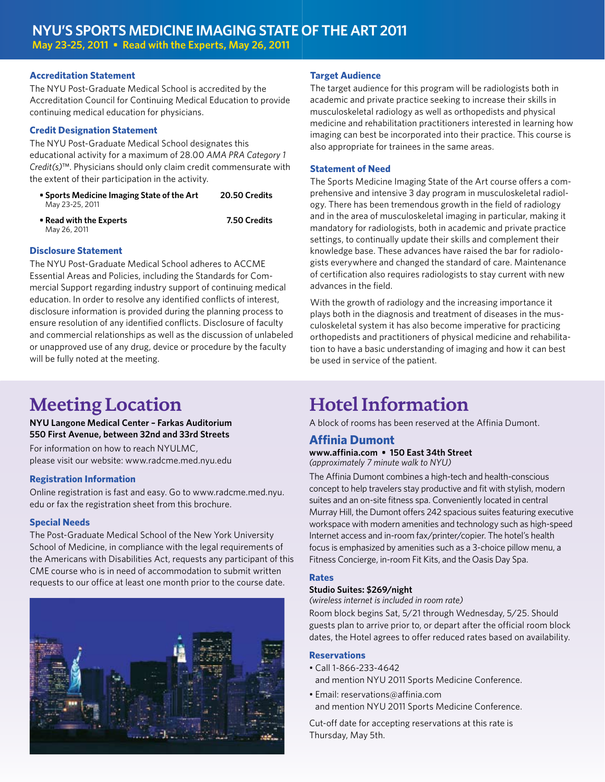## **Accreditation Statement**

The NYU Post-Graduate Medical School is accredited by the Accreditation Council for Continuing Medical Education to provide continuing medical education for physicians.

## **Credit Designation Statement**

The NYU Post-Graduate Medical School designates this educational activity for a maximum of 28.00 *AMA PRA Category 1 Credit(s)*™. Physicians should only claim credit commensurate with the extent of their participation in the activity.

- **Sports Medicine Imaging State of the Art 20.50 Credits** May 23-25, 2011
- **Read with the Experts 7.50 Credits** May 26, 2011

## **Disclosure Statement**

The NYU Post-Graduate Medical School adheres to ACCME Essential Areas and Policies, including the Standards for Commercial Support regarding industry support of continuing medical education. In order to resolve any identified conflicts of interest, disclosure information is provided during the planning process to ensure resolution of any identified conflicts. Disclosure of faculty and commercial relationships as well as the discussion of unlabeled or unapproved use of any drug, device or procedure by the faculty will be fully noted at the meeting.

# **Meeting Location**

## **NYU Langone Medical Center – Farkas Auditorium 550 First Avenue, between 32nd and 33rd Streets**

For information on how to reach NYULMC, please visit our website: www.radcme.med.nyu.edu

### **Registration Information**

Online registration is fast and easy. Go to www.radcme.med.nyu. edu or fax the registration sheet from this brochure.

## **Special Needs**

The Post-Graduate Medical School of the New York University School of Medicine, in compliance with the legal requirements of the Americans with Disabilities Act, requests any participant of this CME course who is in need of accommodation to submit written requests to our office at least one month prior to the course date.



## **Target Audience**

The target audience for this program will be radiologists both in academic and private practice seeking to increase their skills in musculoskeletal radiology as well as orthopedists and physical medicine and rehabilitation practitioners interested in learning how imaging can best be incorporated into their practice. This course is also appropriate for trainees in the same areas.

## **Statement of Need**

The Sports Medicine Imaging State of the Art course offers a comprehensive and intensive 3 day program in musculoskeletal radiology. There has been tremendous growth in the field of radiology and in the area of musculoskeletal imaging in particular, making it mandatory for radiologists, both in academic and private practice settings, to continually update their skills and complement their knowledge base. These advances have raised the bar for radiologists everywhere and changed the standard of care. Maintenance of certification also requires radiologists to stay current with new advances in the field.

With the growth of radiology and the increasing importance it plays both in the diagnosis and treatment of diseases in the musculoskeletal system it has also become imperative for practicing orthopedists and practitioners of physical medicine and rehabilitation to have a basic understanding of imaging and how it can best be used in service of the patient.

# **Hotel Information**

A block of rooms has been reserved at the Affinia Dumont.

## **Affinia Dumont**

**www.affinia.com • 150 East 34th Street** *(approximately 7 minute walk to NYU)*

The Affinia Dumont combines a high-tech and health-conscious concept to help travelers stay productive and fit with stylish, modern suites and an on-site fitness spa. Conveniently located in central Murray Hill, the Dumont offers 242 spacious suites featuring executive workspace with modern amenities and technology such as high-speed Internet access and in-room fax/printer/copier. The hotel's health focus is emphasized by amenities such as a 3-choice pillow menu, a Fitness Concierge, in-room Fit Kits, and the Oasis Day Spa.

## **Rates**

#### **Studio Suites: \$269/night**

*(wireless internet is included in room rate)*

Room block begins Sat, 5/21 through Wednesday, 5/25. Should guests plan to arrive prior to, or depart after the official room block dates, the Hotel agrees to offer reduced rates based on availability.

### **Reservations**

- Call 1-866-233-4642 and mention NYU 2011 Sports Medicine Conference.
- Email: reservations@affinia.com and mention NYU 2011 Sports Medicine Conference.

Cut-off date for accepting reservations at this rate is Thursday, May 5th.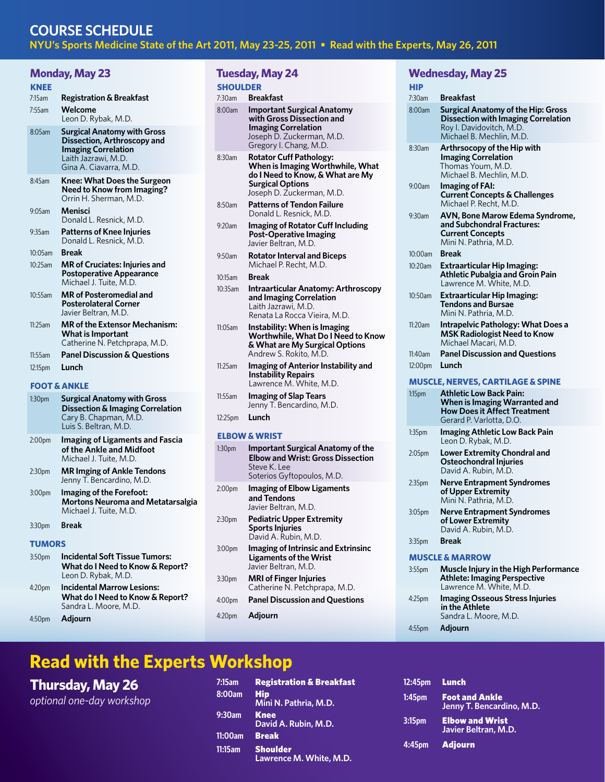## **Course Schedule NYU's Sports Medicine State of the Art 2011, May 23-25, 2011 • Read with the Experts, May 26, 2011**

## **Monday, May 23**

| Monday, May 23     |                                                                                                                                                  |  |  |  |
|--------------------|--------------------------------------------------------------------------------------------------------------------------------------------------|--|--|--|
| <b>KNEE</b>        |                                                                                                                                                  |  |  |  |
| 7:15am             | <b>Registration &amp; Breakfast</b>                                                                                                              |  |  |  |
| 7:55am             | Welcome<br>Leon D. Rybak, M.D.                                                                                                                   |  |  |  |
| 8:05am             | <b>Surgical Anatomy with Gross</b><br>Dissection, Arthroscopy and<br><b>Imaging Correlation</b><br>Laith Jazrawi, M.D.<br>Gina A. Ciavarra, M.D. |  |  |  |
| $8.45$ am          | <b>Knee: What Does the Surgeon</b><br>Need to Know from Imaging?<br>Orrin H. Sherman, M.D.                                                       |  |  |  |
| $9:05$ am          | Menisci<br>Donald L. Resnick, M.D.                                                                                                               |  |  |  |
| 9:35am             | <b>Patterns of Knee Injuries</b><br>Donald L. Resnick, M.D.                                                                                      |  |  |  |
| $10:05$ am         | <b>Break</b>                                                                                                                                     |  |  |  |
| 10:25am            | <b>MR</b> of Cruciates: Injuries and<br><b>Postoperative Appearance</b><br>Michael J. Tuite, M.D.                                                |  |  |  |
| $10:55$ am         | <b>MR</b> of Posteromedial and<br><b>Posterolateral Corner</b><br>Javier Beltran, M.D.                                                           |  |  |  |
| 11:25am            | <b>MR</b> of the Extensor Mechanism:<br><b>What is Important</b><br>Catherine N. Petchprapa, M.D.                                                |  |  |  |
| 11:55am            | <b>Panel Discussion &amp; Questions</b>                                                                                                          |  |  |  |
| 12:15pm            | Lunch                                                                                                                                            |  |  |  |
|                    | <b>FOOT &amp; ANKLE</b>                                                                                                                          |  |  |  |
| 1:30 <sub>pm</sub> | <b>Surgical Anatomy with Gross</b><br><b>Dissection &amp; Imaging Correlation</b>                                                                |  |  |  |

## **Dissection & Imaging Correlation** Cary B. Chapman, M.D. Luis S. Beltran, M.D. 2:00pm **Imaging of Ligaments and Fascia of the Ankle and Midfoot**

Michael J. Tuite, M.D. 2:30pm **MR Imging of Ankle Tendons** Jenny T. Bencardino, M.D. 3:00pm **Imaging of the Forefoot:** 

**Mortons Neuroma and Metatarsalgia** Michael J. Tuite, M.D.

3:30pm **Break**

#### **Tumors**

- 3:50pm **Incidental Soft Tissue Tumors: What do I Need to Know & Report?** Leon D. Rybak, M.D.
- 4:20pm **Incidental Marrow Lesions: What do I Need to Know & Report?** Sandra L. Moore, M.D.
- 4:50pm **Adjourn**

## **Tuesday, May 24**

## **Shoulder**

- 7:30am **Breakfast**  8:00am **Important Surgical Anatomy with Gross Dissection and Imaging Correlation** Joseph D. Zuckerman, M.D. Gregory I. Chang, M.D.
- 8:30am **Rotator Cuff Pathology: When is Imaging Worthwhile, What do I Need to Know, & What are My Surgical Options** Joseph D. Zuckerman, M.D.
- 8:50am **Patterns of Tendon Failure** Donald L. Resnick, M.D.
- 9:20am **Imaging of Rotator Cuff Including Post-Operative Imaging** Javier Beltran, M.D.
- 9:50am **Rotator Interval and Biceps** Michael P. Recht, M.D.

## 10:15am **Break**

- 10:35am **Intraarticular Anatomy: Arthroscopy and Imaging Correlation** Laith Jazrawi, M.D. Renata La Rocca Vieira, M.D.
- 11:05am **Instability: When is Imaging Worthwhile, What Do I Need to Know & What are My Surgical Options** Andrew S. Rokito, M.D.
- 11:25am **Imaging of Anterior Instability and Instability Repairs** Lawrence M. White, M.D.
- 11:55am **Imaging of Slap Tears** Jenny T. Bencardino, M.D. 12:25pm **Lunch**

#### **Elbow & Wrist**

- 1:30pm **Important Surgical Anatomy of the Elbow and Wrist: Gross Dissection** Steve K. Lee Soterios Gyftopoulos, M.D.
- 2:00pm **Imaging of Elbow Ligaments and Tendons** Javier Beltran, M.D.
- 2:30pm **Pediatric Upper Extremity Sports Injuries** David A. Rubin, M.D.
- 3:00pm **Imaging of Intrinsic and Extrinsinc Ligaments of the Wrist** Javier Beltran, M.D.
- 3:30pm **MRI of Finger Injuries** Catherine N. Petchprapa, M.D.
- 4:00pm **Panel Discussion and Questions**
- 4:20pm **Adjourn**

## **Wednesday, May 25**

| HIP                            |                                                                                                                                                 |  |  |  |
|--------------------------------|-------------------------------------------------------------------------------------------------------------------------------------------------|--|--|--|
| 7:30am                         | Breakfast                                                                                                                                       |  |  |  |
| 8:00am                         | <b>Surgical Anatomy of the Hip: Gross</b><br><b>Dissection with Imaging Correlation</b><br>Roy I. Davidovitch, M.D.<br>Michael B. Mechlin, M.D. |  |  |  |
| 8:30am                         | Arthrsocopy of the Hip with<br><b>Imaging Correlation</b><br>Thomas Youm, M.D.<br>Michael B. Mechlin, M.D.                                      |  |  |  |
| 9:00am                         | <b>Imaging of FAI:</b><br><b>Current Concepts &amp; Challenges</b><br>Michael P. Recht, M.D.                                                    |  |  |  |
| 9:30am                         | AVN, Bone Marow Edema Syndrome,<br>and Subchondral Fractures:<br><b>Current Concepts</b><br>Mini N. Pathria, M.D.                               |  |  |  |
| 10:00am                        | <b>Break</b>                                                                                                                                    |  |  |  |
| 10:20am                        | <b>Extraarticular Hip Imaging:</b><br><b>Athletic Pubalgia and Groin Pain</b><br>Lawrence M. White, M.D.                                        |  |  |  |
| 10:50am                        | <b>Extraarticular Hip Imaging:</b><br>Tendons and Bursae<br>Mini N. Pathria, M.D.                                                               |  |  |  |
| 11:20am                        | <b>Intrapelvic Pathology: What Does a</b><br><b>MSK Radiologist Need to Know</b><br>Michael Macari, M.D.                                        |  |  |  |
| 11:40am<br>12:00 <sub>pm</sub> | <b>Panel Discussion and Questions</b><br>Lunch                                                                                                  |  |  |  |
|                                |                                                                                                                                                 |  |  |  |
|                                | <b>MUSCLE, NERVES, CARTILAGE &amp; SPINE</b>                                                                                                    |  |  |  |
| $1:15$ pm                      | <b>Athletic Low Back Pain:</b><br>When is Imaging Warranted and<br><b>How Does it Affect Treatment</b><br>Gerard P. Varlotta, D.O.              |  |  |  |
| 1:35 <sub>pm</sub>             | <b>Imaging Athletic Low Back Pain</b><br>Leon D. Rybak, M.D.                                                                                    |  |  |  |
| 2:05 <sub>pm</sub>             | <b>Lower Extremity Chondral and</b><br><b>Osteochondral Injuries</b><br>David A. Rubin, M.D.                                                    |  |  |  |
| 2:35 <sub>pm</sub>             | <b>Nerve Entrapment Syndromes</b><br>of Upper Extremity<br>Mini N. Pathria, M.D.                                                                |  |  |  |
| 3:05 <sub>pm</sub>             | <b>Nerve Entrapment Syndromes</b><br>of Lower Extremity<br>David A. Rubin, M.D.                                                                 |  |  |  |
| 3:35 <sub>pm</sub>             | <b>Break</b>                                                                                                                                    |  |  |  |
| <b>MUSCLE &amp; MARROW</b>     |                                                                                                                                                 |  |  |  |
| 3:55 <sub>pm</sub>             | Muscle Injury in the High Performance<br><b>Athlete: Imaging Perspective</b><br>Lawrence M. White, M.D.                                         |  |  |  |
| 4:25pm                         | <b>Imaging Osseous Stress Injuries</b>                                                                                                          |  |  |  |
|                                | in the Athlete<br>Sandra L. Moore, M.D.                                                                                                         |  |  |  |

4:55pm **Adjourn**

# **Read with the Experts Workshop**

# **Thursday, May 26**

*optional one-day workshop*

**7:15am** Registration & Breakfast **8:00am** Hip **Mini N. Pathria, M.D. 9:30am** Knee **David A. Rubin, M.D. 11:00am** Break **11:15am** Shoulder **Lawrence M. White, M.D.**

| 12:45pm    Lunch |                                                    |
|------------------|----------------------------------------------------|
| 1:45pm           | <b>Foot and Ankle</b><br>Jenny T. Bencardino, M.D. |
| 3:15pm           | <b>Elbow and Wrist</b><br>Javier Beltran, M.D.     |
| 4:45pm           | <b>Adjourn</b>                                     |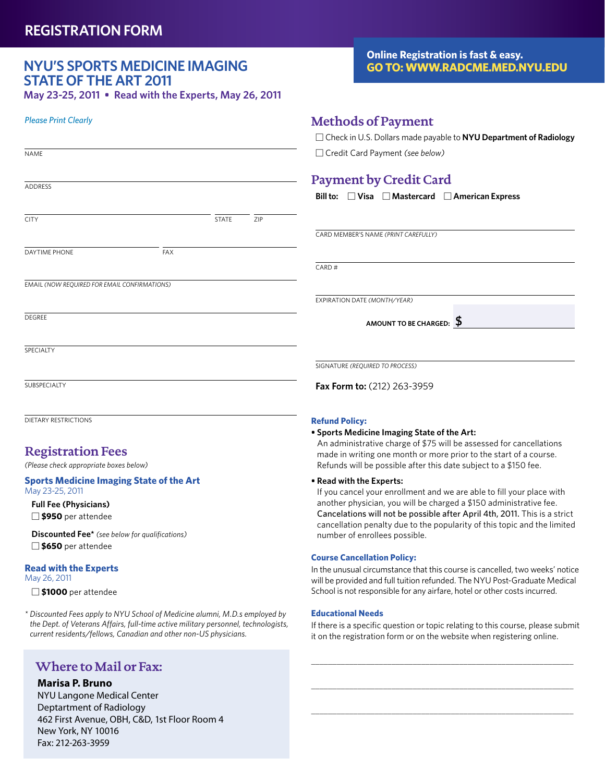# **NYU's Sports Medicine imaging State of the Art 2011**

**May 23-25, 2011 • Read with the Experts, May 26, 2011**

## *Please Print Clearly*

| <b>NAME</b>                                  |     |              |     |
|----------------------------------------------|-----|--------------|-----|
|                                              |     |              |     |
| ADDRESS                                      |     |              |     |
|                                              |     |              |     |
| <b>CITY</b>                                  |     | <b>STATE</b> | ZIP |
|                                              |     |              |     |
| DAYTIME PHONE                                | FAX |              |     |
|                                              |     |              |     |
| EMAIL (NOW REQUIRED FOR EMAIL CONFIRMATIONS) |     |              |     |
|                                              |     |              |     |
| DEGREE                                       |     |              |     |
|                                              |     |              |     |
| SPECIALTY                                    |     |              |     |

SUBSPECIALTY

DIETARY RESTRICTIONS

## **Registration Fees**

*(Please check appropriate boxes below)*

#### **Sports Medicine Imaging State of the Art** May 23-25, 2011

**Full Fee (Physicians) \$950** per attendee

**Discounted Fee\*** *(see below for qualifications)* **\$650** per attendee

#### **Read with the Experts**

May 26, 2011

**\$1000** per attendee

*\* Discounted Fees apply to NYU School of Medicine alumni, M.D.s employed by the Dept. of Veterans Affairs, full-time active military personnel, technologists, current residents/fellows, Canadian and other non-US physicians.*

## **Where to Mail or Fax:**

## **Marisa P. Bruno**

NYU Langone Medical Center Deptartment of Radiology 462 First Avenue, OBH, C&D, 1st Floor Room 4 New York, NY 10016 Fax: 212-263-3959

## **Online Registration is fast & easy. Go to: www.radcme.med.nyu.edu**

## **Methods of Payment**

 Check in U.S. Dollars made payable to **NYU Department of Radiology** Credit Card Payment *(see below)*

# **Payment by Credit Card**

**Bill to: Visa Mastercard American Express**

card member's name *(print carefully)*

 $CARD#$ 

expiration date *(Month/year)*

**amount to be charged: \$**

signature *(required to process)*

**Fax Form to:** (212) 263-3959

### **Refund Policy:**

#### **• Sports Medicine Imaging State of the Art:**

An administrative charge of \$75 will be assessed for cancellations made in writing one month or more prior to the start of a course. Refunds will be possible after this date subject to a \$150 fee.

#### **• Read with the Experts:**

If you cancel your enrollment and we are able to fill your place with another physician, you will be charged a \$150 administrative fee. Cancelations will not be possible after April 4th, 2011. This is a strict cancellation penalty due to the popularity of this topic and the limited number of enrollees possible.

### **Course Cancellation Policy:**

In the unusual circumstance that this course is cancelled, two weeks' notice will be provided and full tuition refunded. The NYU Post-Graduate Medical School is not responsible for any airfare, hotel or other costs incurred.

### **Educational Needs**

If there is a specific question or topic relating to this course, please submit it on the registration form or on the website when registering online.

\_\_\_\_\_\_\_\_\_\_\_\_\_\_\_\_\_\_\_\_\_\_\_\_\_\_\_\_\_\_\_\_\_\_\_\_\_\_\_\_\_\_\_\_\_\_\_\_\_\_\_\_\_\_\_\_\_\_\_\_\_\_

\_\_\_\_\_\_\_\_\_\_\_\_\_\_\_\_\_\_\_\_\_\_\_\_\_\_\_\_\_\_\_\_\_\_\_\_\_\_\_\_\_\_\_\_\_\_\_\_\_\_\_\_\_\_\_\_\_\_\_\_\_\_

\_\_\_\_\_\_\_\_\_\_\_\_\_\_\_\_\_\_\_\_\_\_\_\_\_\_\_\_\_\_\_\_\_\_\_\_\_\_\_\_\_\_\_\_\_\_\_\_\_\_\_\_\_\_\_\_\_\_\_\_\_\_